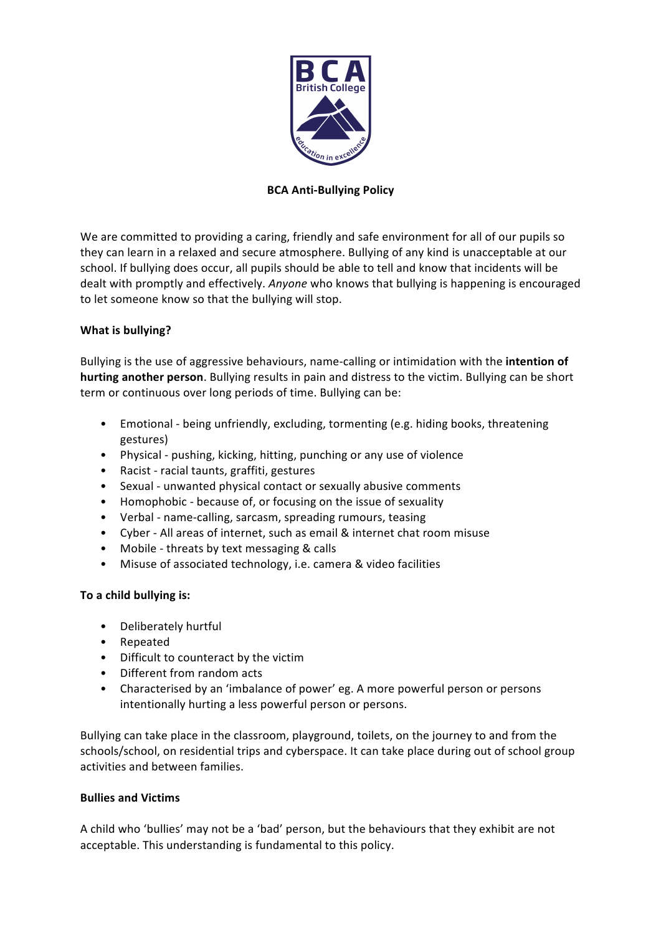

# **BCA Anti-Bullying Policy**

We are committed to providing a caring, friendly and safe environment for all of our pupils so they can learn in a relaxed and secure atmosphere. Bullying of any kind is unacceptable at our school. If bullying does occur, all pupils should be able to tell and know that incidents will be dealt with promptly and effectively. *Anyone* who knows that bullying is happening is encouraged to let someone know so that the bullying will stop.

# **What is bullying?**

Bullying is the use of aggressive behaviours, name-calling or intimidation with the intention of **hurting another person**. Bullying results in pain and distress to the victim. Bullying can be short term or continuous over long periods of time. Bullying can be:

- Emotional being unfriendly, excluding, tormenting (e.g. hiding books, threatening gestures)
- Physical pushing, kicking, hitting, punching or any use of violence
- Racist racial taunts, graffiti, gestures
- Sexual unwanted physical contact or sexually abusive comments
- Homophobic because of, or focusing on the issue of sexuality
- Verbal name-calling, sarcasm, spreading rumours, teasing
- Cyber All areas of internet, such as email & internet chat room misuse
- Mobile threats by text messaging & calls
- Misuse of associated technology, i.e. camera & video facilities

### To a child bullying is:

- Deliberately hurtful
- Repeated
- Difficult to counteract by the victim
- Different from random acts
- Characterised by an 'imbalance of power' eg. A more powerful person or persons intentionally hurting a less powerful person or persons.

Bullying can take place in the classroom, playground, toilets, on the journey to and from the schools/school, on residential trips and cyberspace. It can take place during out of school group activities and between families.

### **Bullies and Victims**

A child who 'bullies' may not be a 'bad' person, but the behaviours that they exhibit are not acceptable. This understanding is fundamental to this policy.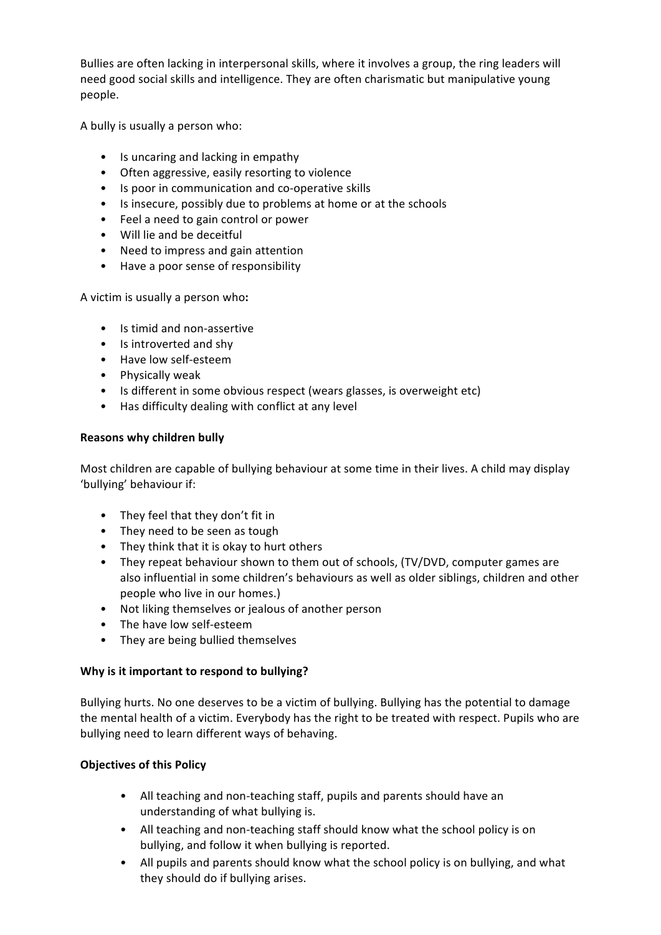Bullies are often lacking in interpersonal skills, where it involves a group, the ring leaders will need good social skills and intelligence. They are often charismatic but manipulative young people. 

A bully is usually a person who:

- Is uncaring and lacking in empathy
- Often aggressive, easily resorting to violence
- Is poor in communication and co-operative skills
- Is insecure, possibly due to problems at home or at the schools
- Feel a need to gain control or power
- Will lie and be deceitful
- Need to impress and gain attention
- Have a poor sense of responsibility

A victim is usually a person who:

- Is timid and non-assertive
- Is introverted and shy
- Have low self-esteem
- Physically weak
- Is different in some obvious respect (wears glasses, is overweight etc)
- Has difficulty dealing with conflict at any level

#### **Reasons why children bully**

Most children are capable of bullying behaviour at some time in their lives. A child may display 'bullying' behaviour if:

- They feel that they don't fit in
- They need to be seen as tough
- They think that it is okay to hurt others
- They repeat behaviour shown to them out of schools, (TV/DVD, computer games are also influential in some children's behaviours as well as older siblings, children and other people who live in our homes.)
- Not liking themselves or jealous of another person
- The have low self-esteem
- They are being bullied themselves

### Why is it important to respond to bullying?

Bullying hurts. No one deserves to be a victim of bullying. Bullying has the potential to damage the mental health of a victim. Everybody has the right to be treated with respect. Pupils who are bullying need to learn different ways of behaving.

### **Objectives of this Policy**

- All teaching and non-teaching staff, pupils and parents should have an understanding of what bullying is.
- All teaching and non-teaching staff should know what the school policy is on bullying, and follow it when bullying is reported.
- All pupils and parents should know what the school policy is on bullying, and what they should do if bullying arises.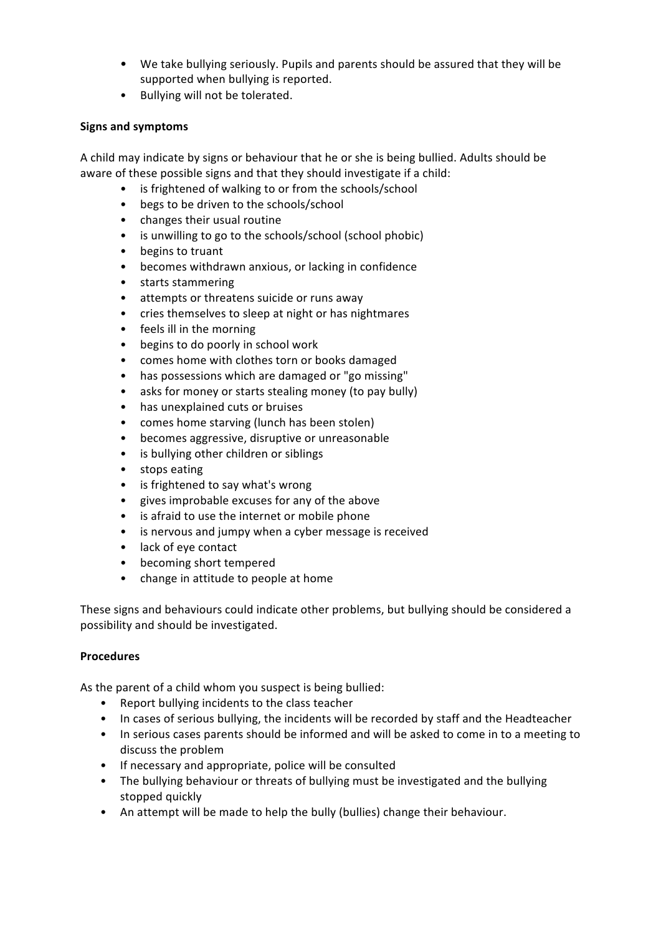- We take bullying seriously. Pupils and parents should be assured that they will be supported when bullying is reported.
- Bullying will not be tolerated.

## **Signs and symptoms**

A child may indicate by signs or behaviour that he or she is being bullied. Adults should be aware of these possible signs and that they should investigate if a child:

- is frightened of walking to or from the schools/school
- begs to be driven to the schools/school
- changes their usual routine
- is unwilling to go to the schools/school (school phobic)
- begins to truant
- becomes withdrawn anxious, or lacking in confidence
- starts stammering
- attempts or threatens suicide or runs away
- cries themselves to sleep at night or has nightmares
- feels ill in the morning
- begins to do poorly in school work
- comes home with clothes torn or books damaged
- has possessions which are damaged or "go missing"
- asks for money or starts stealing money (to pay bully)
- has unexplained cuts or bruises
- comes home starving (lunch has been stolen)
- becomes aggressive, disruptive or unreasonable
- is bullying other children or siblings
- stops eating
- is frightened to say what's wrong
- gives improbable excuses for any of the above
- is afraid to use the internet or mobile phone
- is nervous and jumpy when a cyber message is received
- lack of eye contact
- becoming short tempered
- change in attitude to people at home

These signs and behaviours could indicate other problems, but bullying should be considered a possibility and should be investigated.

### **Procedures**

As the parent of a child whom you suspect is being bullied:

- Report bullying incidents to the class teacher
- In cases of serious bullying, the incidents will be recorded by staff and the Headteacher
- In serious cases parents should be informed and will be asked to come in to a meeting to discuss the problem
- If necessary and appropriate, police will be consulted
- The bullying behaviour or threats of bullying must be investigated and the bullying stopped quickly
- An attempt will be made to help the bully (bullies) change their behaviour.